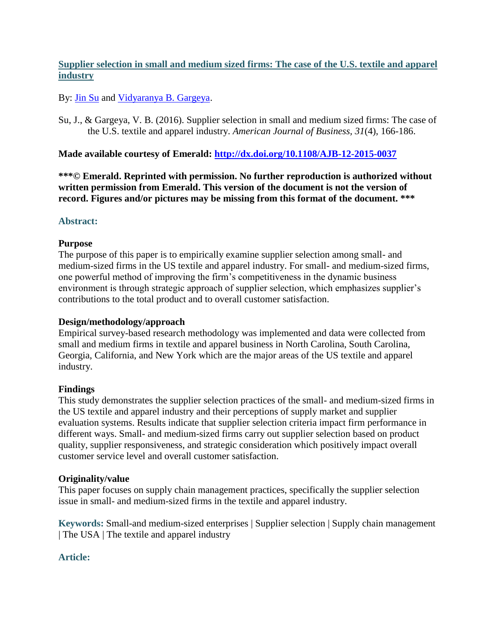## **Supplier selection in small and medium sized firms: The case of the U.S. textile and apparel industry**

By: *Jin Su and [Vidyaranya B. Gargeya.](http://libres.uncg.edu/ir/uncg/clist.aspx?id=775)* 

Su, J., & Gargeya, V. B. (2016). Supplier selection in small and medium sized firms: The case of the U.S. textile and apparel industry. *American Journal of Business, 31*(4), 166-186.

## **Made available courtesy of Emerald:<http://dx.doi.org/10.1108/AJB-12-2015-0037>**

**\*\*\*© Emerald. Reprinted with permission. No further reproduction is authorized without written permission from Emerald. This version of the document is not the version of record. Figures and/or pictures may be missing from this format of the document. \*\*\***

## **Abstract:**

## **Purpose**

The purpose of this paper is to empirically examine supplier selection among small- and medium-sized firms in the US textile and apparel industry. For small- and medium-sized firms, one powerful method of improving the firm's competitiveness in the dynamic business environment is through strategic approach of supplier selection, which emphasizes supplier's contributions to the total product and to overall customer satisfaction.

### **Design/methodology/approach**

Empirical survey-based research methodology was implemented and data were collected from small and medium firms in textile and apparel business in North Carolina, South Carolina, Georgia, California, and New York which are the major areas of the US textile and apparel industry.

## **Findings**

This study demonstrates the supplier selection practices of the small- and medium-sized firms in the US textile and apparel industry and their perceptions of supply market and supplier evaluation systems. Results indicate that supplier selection criteria impact firm performance in different ways. Small- and medium-sized firms carry out supplier selection based on product quality, supplier responsiveness, and strategic consideration which positively impact overall customer service level and overall customer satisfaction.

## **Originality/value**

This paper focuses on supply chain management practices, specifically the supplier selection issue in small- and medium-sized firms in the textile and apparel industry.

**Keywords:** Small-and medium-sized enterprises | Supplier selection | Supply chain management | The USA | The textile and apparel industry

## **Article:**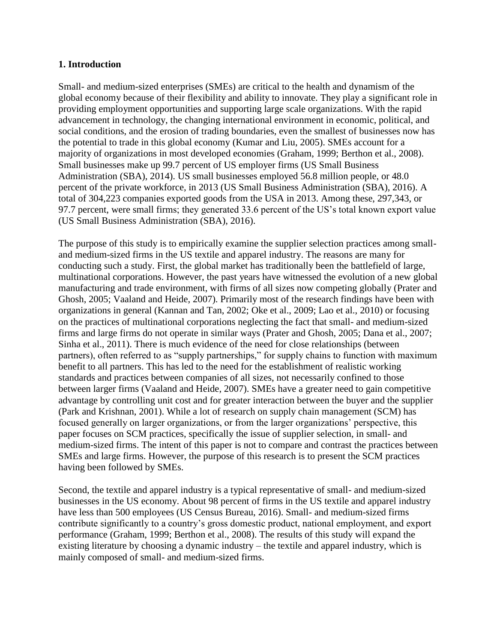#### **1. Introduction**

Small- and medium-sized enterprises (SMEs) are critical to the health and dynamism of the global economy because of their flexibility and ability to innovate. They play a significant role in providing employment opportunities and supporting large scale organizations. With the rapid advancement in technology, the changing international environment in economic, political, and social conditions, and the erosion of trading boundaries, even the smallest of businesses now has the potential to trade in this global economy (Kumar and Liu, 2005). SMEs account for a majority of organizations in most developed economies (Graham, 1999; Berthon et al., 2008). Small businesses make up 99.7 percent of US employer firms (US Small Business Administration (SBA), 2014). US small businesses employed 56.8 million people, or 48.0 percent of the private workforce, in 2013 (US Small Business Administration (SBA), 2016). A total of 304,223 companies exported goods from the USA in 2013. Among these, 297,343, or 97.7 percent, were small firms; they generated 33.6 percent of the US's total known export value (US Small Business Administration (SBA), 2016).

The purpose of this study is to empirically examine the supplier selection practices among smalland medium-sized firms in the US textile and apparel industry. The reasons are many for conducting such a study. First, the global market has traditionally been the battlefield of large, multinational corporations. However, the past years have witnessed the evolution of a new global manufacturing and trade environment, with firms of all sizes now competing globally (Prater and Ghosh, 2005; Vaaland and Heide, 2007). Primarily most of the research findings have been with organizations in general (Kannan and Tan, 2002; Oke et al., 2009; Lao et al., 2010) or focusing on the practices of multinational corporations neglecting the fact that small- and medium-sized firms and large firms do not operate in similar ways (Prater and Ghosh, 2005; Dana et al., 2007; Sinha et al., 2011). There is much evidence of the need for close relationships (between partners), often referred to as "supply partnerships," for supply chains to function with maximum benefit to all partners. This has led to the need for the establishment of realistic working standards and practices between companies of all sizes, not necessarily confined to those between larger firms (Vaaland and Heide, 2007). SMEs have a greater need to gain competitive advantage by controlling unit cost and for greater interaction between the buyer and the supplier (Park and Krishnan, 2001). While a lot of research on supply chain management (SCM) has focused generally on larger organizations, or from the larger organizations' perspective, this paper focuses on SCM practices, specifically the issue of supplier selection, in small- and medium-sized firms. The intent of this paper is not to compare and contrast the practices between SMEs and large firms. However, the purpose of this research is to present the SCM practices having been followed by SMEs.

Second, the textile and apparel industry is a typical representative of small- and medium-sized businesses in the US economy. About 98 percent of firms in the US textile and apparel industry have less than 500 employees (US Census Bureau, 2016). Small- and medium-sized firms contribute significantly to a country's gross domestic product, national employment, and export performance (Graham, 1999; Berthon et al., 2008). The results of this study will expand the existing literature by choosing a dynamic industry – the textile and apparel industry, which is mainly composed of small- and medium-sized firms.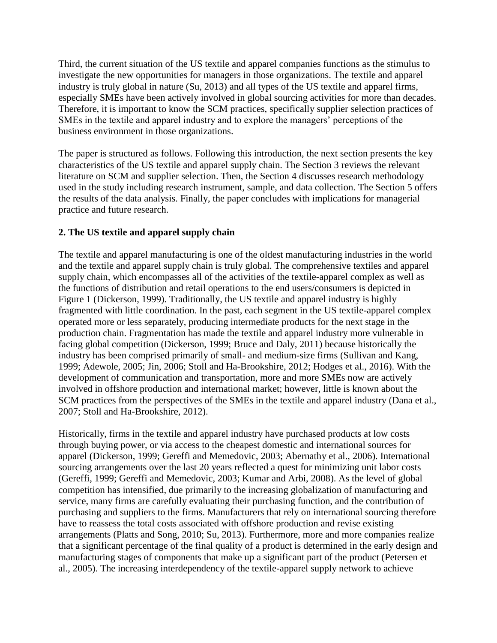Third, the current situation of the US textile and apparel companies functions as the stimulus to investigate the new opportunities for managers in those organizations. The textile and apparel industry is truly global in nature (Su, 2013) and all types of the US textile and apparel firms, especially SMEs have been actively involved in global sourcing activities for more than decades. Therefore, it is important to know the SCM practices, specifically supplier selection practices of SMEs in the textile and apparel industry and to explore the managers' perceptions of the business environment in those organizations.

The paper is structured as follows. Following this introduction, the next section presents the key characteristics of the US textile and apparel supply chain. The Section 3 reviews the relevant literature on SCM and supplier selection. Then, the Section 4 discusses research methodology used in the study including research instrument, sample, and data collection. The Section 5 offers the results of the data analysis. Finally, the paper concludes with implications for managerial practice and future research.

## **2. The US textile and apparel supply chain**

The textile and apparel manufacturing is one of the oldest manufacturing industries in the world and the textile and apparel supply chain is truly global. The comprehensive textiles and apparel supply chain, which encompasses all of the activities of the textile-apparel complex as well as the functions of distribution and retail operations to the end users/consumers is depicted in Figure 1 (Dickerson, 1999). Traditionally, the US textile and apparel industry is highly fragmented with little coordination. In the past, each segment in the US textile-apparel complex operated more or less separately, producing intermediate products for the next stage in the production chain. Fragmentation has made the textile and apparel industry more vulnerable in facing global competition (Dickerson, 1999; Bruce and Daly, 2011) because historically the industry has been comprised primarily of small- and medium-size firms (Sullivan and Kang, 1999; Adewole, 2005; Jin, 2006; Stoll and Ha-Brookshire, 2012; Hodges et al., 2016). With the development of communication and transportation, more and more SMEs now are actively involved in offshore production and international market; however, little is known about the SCM practices from the perspectives of the SMEs in the textile and apparel industry (Dana et al., 2007; Stoll and Ha-Brookshire, 2012).

Historically, firms in the textile and apparel industry have purchased products at low costs through buying power, or via access to the cheapest domestic and international sources for apparel (Dickerson, 1999; Gereffi and Memedovic, 2003; Abernathy et al., 2006). International sourcing arrangements over the last 20 years reflected a quest for minimizing unit labor costs (Gereffi, 1999; Gereffi and Memedovic, 2003; Kumar and Arbi, 2008). As the level of global competition has intensified, due primarily to the increasing globalization of manufacturing and service, many firms are carefully evaluating their purchasing function, and the contribution of purchasing and suppliers to the firms. Manufacturers that rely on international sourcing therefore have to reassess the total costs associated with offshore production and revise existing arrangements (Platts and Song, 2010; Su, 2013). Furthermore, more and more companies realize that a significant percentage of the final quality of a product is determined in the early design and manufacturing stages of components that make up a significant part of the product (Petersen et al., 2005). The increasing interdependency of the textile-apparel supply network to achieve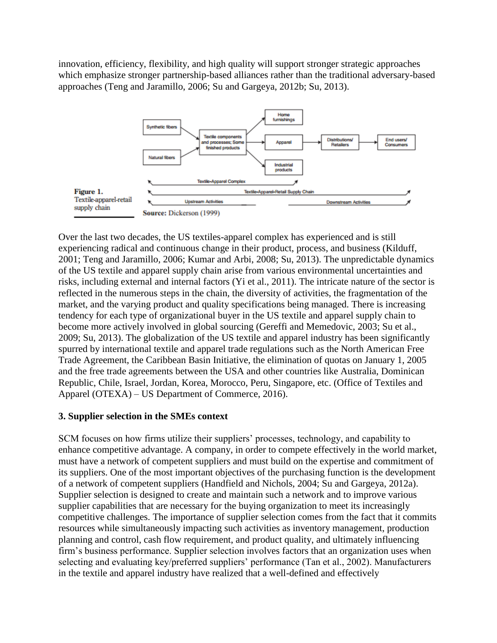innovation, efficiency, flexibility, and high quality will support stronger strategic approaches which emphasize stronger partnership-based alliances rather than the traditional adversary-based approaches (Teng and Jaramillo, 2006; Su and Gargeya, 2012b; Su, 2013).



Over the last two decades, the US textiles-apparel complex has experienced and is still experiencing radical and continuous change in their product, process, and business (Kilduff, 2001; Teng and Jaramillo, 2006; Kumar and Arbi, 2008; Su, 2013). The unpredictable dynamics of the US textile and apparel supply chain arise from various environmental uncertainties and risks, including external and internal factors (Yi et al., 2011). The intricate nature of the sector is reflected in the numerous steps in the chain, the diversity of activities, the fragmentation of the market, and the varying product and quality specifications being managed. There is increasing tendency for each type of organizational buyer in the US textile and apparel supply chain to become more actively involved in global sourcing (Gereffi and Memedovic, 2003; Su et al., 2009; Su, 2013). The globalization of the US textile and apparel industry has been significantly spurred by international textile and apparel trade regulations such as the North American Free Trade Agreement, the Caribbean Basin Initiative, the elimination of quotas on January 1, 2005 and the free trade agreements between the USA and other countries like Australia, Dominican Republic, Chile, Israel, Jordan, Korea, Morocco, Peru, Singapore, etc. (Office of Textiles and Apparel (OTEXA) – US Department of Commerce, 2016).

## **3. Supplier selection in the SMEs context**

SCM focuses on how firms utilize their suppliers' processes, technology, and capability to enhance competitive advantage. A company, in order to compete effectively in the world market, must have a network of competent suppliers and must build on the expertise and commitment of its suppliers. One of the most important objectives of the purchasing function is the development of a network of competent suppliers (Handfield and Nichols, 2004; Su and Gargeya, 2012a). Supplier selection is designed to create and maintain such a network and to improve various supplier capabilities that are necessary for the buying organization to meet its increasingly competitive challenges. The importance of supplier selection comes from the fact that it commits resources while simultaneously impacting such activities as inventory management, production planning and control, cash flow requirement, and product quality, and ultimately influencing firm's business performance. Supplier selection involves factors that an organization uses when selecting and evaluating key/preferred suppliers' performance (Tan et al., 2002). Manufacturers in the textile and apparel industry have realized that a well-defined and effectively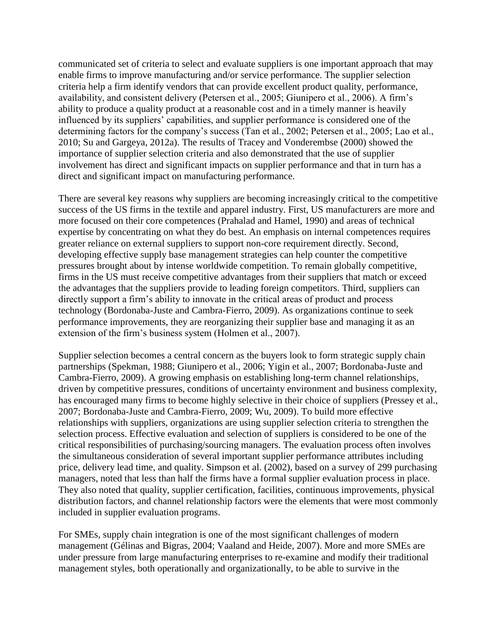communicated set of criteria to select and evaluate suppliers is one important approach that may enable firms to improve manufacturing and/or service performance. The supplier selection criteria help a firm identify vendors that can provide excellent product quality, performance, availability, and consistent delivery (Petersen et al., 2005; Giunipero et al., 2006). A firm's ability to produce a quality product at a reasonable cost and in a timely manner is heavily influenced by its suppliers' capabilities, and supplier performance is considered one of the determining factors for the company's success (Tan et al., 2002; Petersen et al., 2005; Lao et al., 2010; Su and Gargeya, 2012a). The results of Tracey and Vonderembse (2000) showed the importance of supplier selection criteria and also demonstrated that the use of supplier involvement has direct and significant impacts on supplier performance and that in turn has a direct and significant impact on manufacturing performance.

There are several key reasons why suppliers are becoming increasingly critical to the competitive success of the US firms in the textile and apparel industry. First, US manufacturers are more and more focused on their core competences (Prahalad and Hamel, 1990) and areas of technical expertise by concentrating on what they do best. An emphasis on internal competences requires greater reliance on external suppliers to support non-core requirement directly. Second, developing effective supply base management strategies can help counter the competitive pressures brought about by intense worldwide competition. To remain globally competitive, firms in the US must receive competitive advantages from their suppliers that match or exceed the advantages that the suppliers provide to leading foreign competitors. Third, suppliers can directly support a firm's ability to innovate in the critical areas of product and process technology (Bordonaba-Juste and Cambra-Fierro, 2009). As organizations continue to seek performance improvements, they are reorganizing their supplier base and managing it as an extension of the firm's business system (Holmen et al., 2007).

Supplier selection becomes a central concern as the buyers look to form strategic supply chain partnerships (Spekman, 1988; Giunipero et al., 2006; Yigin et al., 2007; Bordonaba-Juste and Cambra-Fierro, 2009). A growing emphasis on establishing long-term channel relationships, driven by competitive pressures, conditions of uncertainty environment and business complexity, has encouraged many firms to become highly selective in their choice of suppliers (Pressey et al., 2007; Bordonaba-Juste and Cambra-Fierro, 2009; Wu, 2009). To build more effective relationships with suppliers, organizations are using supplier selection criteria to strengthen the selection process. Effective evaluation and selection of suppliers is considered to be one of the critical responsibilities of purchasing/sourcing managers. The evaluation process often involves the simultaneous consideration of several important supplier performance attributes including price, delivery lead time, and quality. Simpson et al. (2002), based on a survey of 299 purchasing managers, noted that less than half the firms have a formal supplier evaluation process in place. They also noted that quality, supplier certification, facilities, continuous improvements, physical distribution factors, and channel relationship factors were the elements that were most commonly included in supplier evaluation programs.

For SMEs, supply chain integration is one of the most significant challenges of modern management (Gélinas and Bigras, 2004; Vaaland and Heide, 2007). More and more SMEs are under pressure from large manufacturing enterprises to re-examine and modify their traditional management styles, both operationally and organizationally, to be able to survive in the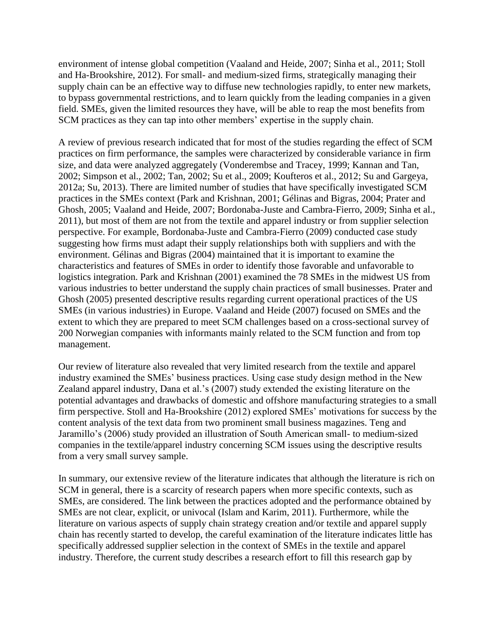environment of intense global competition (Vaaland and Heide, 2007; Sinha et al., 2011; Stoll and Ha-Brookshire, 2012). For small- and medium-sized firms, strategically managing their supply chain can be an effective way to diffuse new technologies rapidly, to enter new markets, to bypass governmental restrictions, and to learn quickly from the leading companies in a given field. SMEs, given the limited resources they have, will be able to reap the most benefits from SCM practices as they can tap into other members' expertise in the supply chain.

A review of previous research indicated that for most of the studies regarding the effect of SCM practices on firm performance, the samples were characterized by considerable variance in firm size, and data were analyzed aggregately (Vonderembse and Tracey, 1999; Kannan and Tan, 2002; Simpson et al., 2002; Tan, 2002; Su et al., 2009; Koufteros et al., 2012; Su and Gargeya, 2012a; Su, 2013). There are limited number of studies that have specifically investigated SCM practices in the SMEs context (Park and Krishnan, 2001; Gélinas and Bigras, 2004; Prater and Ghosh, 2005; Vaaland and Heide, 2007; Bordonaba-Juste and Cambra-Fierro, 2009; Sinha et al., 2011), but most of them are not from the textile and apparel industry or from supplier selection perspective. For example, Bordonaba-Juste and Cambra-Fierro (2009) conducted case study suggesting how firms must adapt their supply relationships both with suppliers and with the environment. Gélinas and Bigras (2004) maintained that it is important to examine the characteristics and features of SMEs in order to identify those favorable and unfavorable to logistics integration. Park and Krishnan (2001) examined the 78 SMEs in the midwest US from various industries to better understand the supply chain practices of small businesses. Prater and Ghosh (2005) presented descriptive results regarding current operational practices of the US SMEs (in various industries) in Europe. Vaaland and Heide (2007) focused on SMEs and the extent to which they are prepared to meet SCM challenges based on a cross-sectional survey of 200 Norwegian companies with informants mainly related to the SCM function and from top management.

Our review of literature also revealed that very limited research from the textile and apparel industry examined the SMEs' business practices. Using case study design method in the New Zealand apparel industry, Dana et al.'s (2007) study extended the existing literature on the potential advantages and drawbacks of domestic and offshore manufacturing strategies to a small firm perspective. Stoll and Ha-Brookshire (2012) explored SMEs' motivations for success by the content analysis of the text data from two prominent small business magazines. Teng and Jaramillo's (2006) study provided an illustration of South American small- to medium-sized companies in the textile/apparel industry concerning SCM issues using the descriptive results from a very small survey sample.

In summary, our extensive review of the literature indicates that although the literature is rich on SCM in general, there is a scarcity of research papers when more specific contexts, such as SMEs, are considered. The link between the practices adopted and the performance obtained by SMEs are not clear, explicit, or univocal (Islam and Karim, 2011). Furthermore, while the literature on various aspects of supply chain strategy creation and/or textile and apparel supply chain has recently started to develop, the careful examination of the literature indicates little has specifically addressed supplier selection in the context of SMEs in the textile and apparel industry. Therefore, the current study describes a research effort to fill this research gap by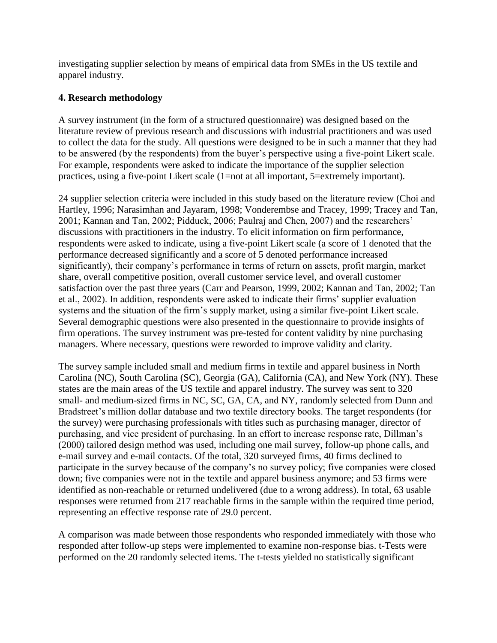investigating supplier selection by means of empirical data from SMEs in the US textile and apparel industry.

### **4. Research methodology**

A survey instrument (in the form of a structured questionnaire) was designed based on the literature review of previous research and discussions with industrial practitioners and was used to collect the data for the study. All questions were designed to be in such a manner that they had to be answered (by the respondents) from the buyer's perspective using a five-point Likert scale. For example, respondents were asked to indicate the importance of the supplier selection practices, using a five-point Likert scale (1=not at all important, 5=extremely important).

24 supplier selection criteria were included in this study based on the literature review (Choi and Hartley, 1996; Narasimhan and Jayaram, 1998; Vonderembse and Tracey, 1999; Tracey and Tan, 2001; Kannan and Tan, 2002; Pidduck, 2006; Paulraj and Chen, 2007) and the researchers' discussions with practitioners in the industry. To elicit information on firm performance, respondents were asked to indicate, using a five-point Likert scale (a score of 1 denoted that the performance decreased significantly and a score of 5 denoted performance increased significantly), their company's performance in terms of return on assets, profit margin, market share, overall competitive position, overall customer service level, and overall customer satisfaction over the past three years (Carr and Pearson, 1999, 2002; Kannan and Tan, 2002; Tan et al., 2002). In addition, respondents were asked to indicate their firms' supplier evaluation systems and the situation of the firm's supply market, using a similar five-point Likert scale. Several demographic questions were also presented in the questionnaire to provide insights of firm operations. The survey instrument was pre-tested for content validity by nine purchasing managers. Where necessary, questions were reworded to improve validity and clarity.

The survey sample included small and medium firms in textile and apparel business in North Carolina (NC), South Carolina (SC), Georgia (GA), California (CA), and New York (NY). These states are the main areas of the US textile and apparel industry. The survey was sent to 320 small- and medium-sized firms in NC, SC, GA, CA, and NY, randomly selected from Dunn and Bradstreet's million dollar database and two textile directory books. The target respondents (for the survey) were purchasing professionals with titles such as purchasing manager, director of purchasing, and vice president of purchasing. In an effort to increase response rate, Dillman's (2000) tailored design method was used, including one mail survey, follow-up phone calls, and e-mail survey and e-mail contacts. Of the total, 320 surveyed firms, 40 firms declined to participate in the survey because of the company's no survey policy; five companies were closed down; five companies were not in the textile and apparel business anymore; and 53 firms were identified as non-reachable or returned undelivered (due to a wrong address). In total, 63 usable responses were returned from 217 reachable firms in the sample within the required time period, representing an effective response rate of 29.0 percent.

A comparison was made between those respondents who responded immediately with those who responded after follow-up steps were implemented to examine non-response bias. t-Tests were performed on the 20 randomly selected items. The t-tests yielded no statistically significant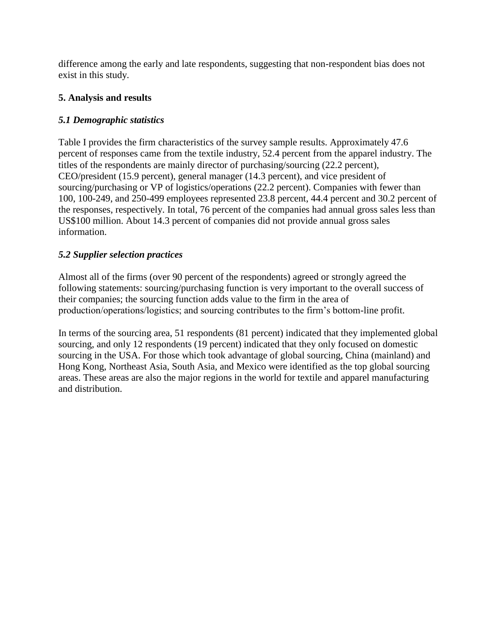difference among the early and late respondents, suggesting that non-respondent bias does not exist in this study.

# **5. Analysis and results**

# *5.1 Demographic statistics*

Table I provides the firm characteristics of the survey sample results. Approximately 47.6 percent of responses came from the textile industry, 52.4 percent from the apparel industry. The titles of the respondents are mainly director of purchasing/sourcing (22.2 percent), CEO/president (15.9 percent), general manager (14.3 percent), and vice president of sourcing/purchasing or VP of logistics/operations (22.2 percent). Companies with fewer than 100, 100-249, and 250-499 employees represented 23.8 percent, 44.4 percent and 30.2 percent of the responses, respectively. In total, 76 percent of the companies had annual gross sales less than US\$100 million. About 14.3 percent of companies did not provide annual gross sales information.

# *5.2 Supplier selection practices*

Almost all of the firms (over 90 percent of the respondents) agreed or strongly agreed the following statements: sourcing/purchasing function is very important to the overall success of their companies; the sourcing function adds value to the firm in the area of production/operations/logistics; and sourcing contributes to the firm's bottom-line profit.

In terms of the sourcing area, 51 respondents (81 percent) indicated that they implemented global sourcing, and only 12 respondents (19 percent) indicated that they only focused on domestic sourcing in the USA. For those which took advantage of global sourcing, China (mainland) and Hong Kong, Northeast Asia, South Asia, and Mexico were identified as the top global sourcing areas. These areas are also the major regions in the world for textile and apparel manufacturing and distribution.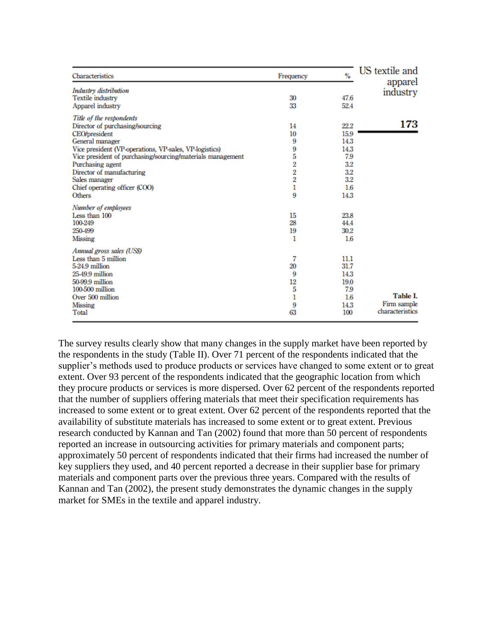| Characteristics                                                                                                                                                                                                                                                                                                                                    | Frequency                                                            | $\frac{9}{6}$                                                           | US textile and<br>apparel                  |
|----------------------------------------------------------------------------------------------------------------------------------------------------------------------------------------------------------------------------------------------------------------------------------------------------------------------------------------------------|----------------------------------------------------------------------|-------------------------------------------------------------------------|--------------------------------------------|
| <b>Industry</b> distribution<br><b>Textile industry</b><br>Apparel industry                                                                                                                                                                                                                                                                        | 30<br>33                                                             | 47.6<br>52.4                                                            | industry                                   |
| Title of the respondents<br>Director of purchasing/sourcing<br><b>CEO/president</b><br>General manager<br>Vice president (VP-operations, VP-sales, VP-logistics)<br>Vice president of purchasing/sourcing/materials management<br>Purchasing agent<br>Director of manufacturing<br>Sales manager<br>Chief operating officer (COO)<br><b>Others</b> | 14<br>10<br>9<br>9<br>5<br>$\overline{2}$<br>$\frac{2}{2}$<br>ı<br>9 | 22.2<br>15.9<br>14.3<br>14.3<br>7.9<br>3.2<br>3.2<br>3.2<br>1.6<br>14.3 | 173                                        |
| Number of employees<br>Less than 100<br>100-249<br>250-499<br>Missing                                                                                                                                                                                                                                                                              | 15<br>28<br>19<br>1                                                  | 23.8<br>44.4<br>30.2<br>1.6                                             |                                            |
| Annual gross sales (USS)<br>Less than 5 million<br>5-24.9 million<br>25-49.9 million<br>50-99.9 million<br>100-500 million<br>Over 500 million<br>Missing<br>Total                                                                                                                                                                                 | 7<br>20<br>9<br>12<br>5<br>1<br>9<br>63                              | 11.1<br>31.7<br>14.3<br>19.0<br>7.9<br>1.6<br>14.3<br>100               | Table I.<br>Firm sample<br>characteristics |

The survey results clearly show that many changes in the supply market have been reported by the respondents in the study (Table II). Over 71 percent of the respondents indicated that the supplier's methods used to produce products or services have changed to some extent or to great extent. Over 93 percent of the respondents indicated that the geographic location from which they procure products or services is more dispersed. Over 62 percent of the respondents reported that the number of suppliers offering materials that meet their specification requirements has increased to some extent or to great extent. Over 62 percent of the respondents reported that the availability of substitute materials has increased to some extent or to great extent. Previous research conducted by Kannan and Tan (2002) found that more than 50 percent of respondents reported an increase in outsourcing activities for primary materials and component parts; approximately 50 percent of respondents indicated that their firms had increased the number of key suppliers they used, and 40 percent reported a decrease in their supplier base for primary materials and component parts over the previous three years. Compared with the results of Kannan and Tan (2002), the present study demonstrates the dynamic changes in the supply market for SMEs in the textile and apparel industry.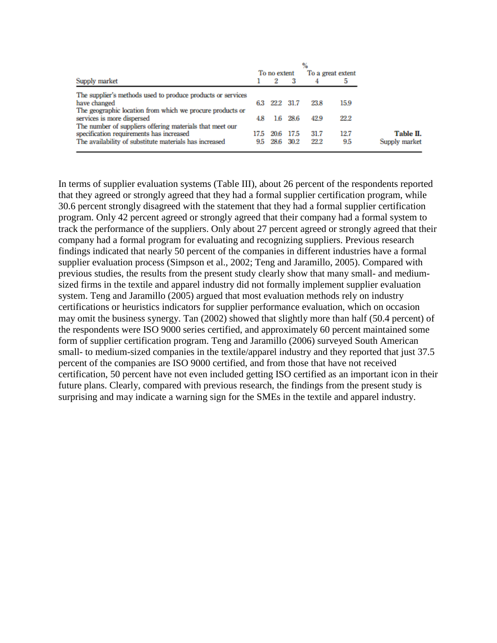|                                                             |      |              |      | $\%$ |                   |
|-------------------------------------------------------------|------|--------------|------|------|-------------------|
|                                                             |      | To no extent |      |      | To a great extent |
| Supply market                                               |      | 2            |      |      |                   |
| The supplier's methods used to produce products or services |      |              |      |      |                   |
| have changed                                                | 63   | 22.2         | 31.7 | 23.8 | 15.9              |
| The geographic location from which we procure products or   |      |              |      |      |                   |
| services is more dispersed                                  | 4.8  | 16           | 28.6 | 42.9 | 22.2              |
| The number of suppliers offering materials that meet our    |      |              |      |      |                   |
| specification requirements has increased                    | 17.5 | 20.6         | 17.5 | 31.7 | 12.7              |
| The availability of substitute materials has increased      | 9.5  | 28.6         | 30.2 | 22.2 | 9.5               |
|                                                             |      |              |      |      |                   |

In terms of supplier evaluation systems (Table III), about 26 percent of the respondents reported that they agreed or strongly agreed that they had a formal supplier certification program, while 30.6 percent strongly disagreed with the statement that they had a formal supplier certification program. Only 42 percent agreed or strongly agreed that their company had a formal system to track the performance of the suppliers. Only about 27 percent agreed or strongly agreed that their company had a formal program for evaluating and recognizing suppliers. Previous research findings indicated that nearly 50 percent of the companies in different industries have a formal supplier evaluation process (Simpson et al., 2002; Teng and Jaramillo, 2005). Compared with previous studies, the results from the present study clearly show that many small- and mediumsized firms in the textile and apparel industry did not formally implement supplier evaluation system. Teng and Jaramillo (2005) argued that most evaluation methods rely on industry certifications or heuristics indicators for supplier performance evaluation, which on occasion may omit the business synergy. Tan (2002) showed that slightly more than half (50.4 percent) of the respondents were ISO 9000 series certified, and approximately 60 percent maintained some form of supplier certification program. Teng and Jaramillo (2006) surveyed South American small- to medium-sized companies in the textile/apparel industry and they reported that just 37.5 percent of the companies are ISO 9000 certified, and from those that have not received certification, 50 percent have not even included getting ISO certified as an important icon in their future plans. Clearly, compared with previous research, the findings from the present study is surprising and may indicate a warning sign for the SMEs in the textile and apparel industry.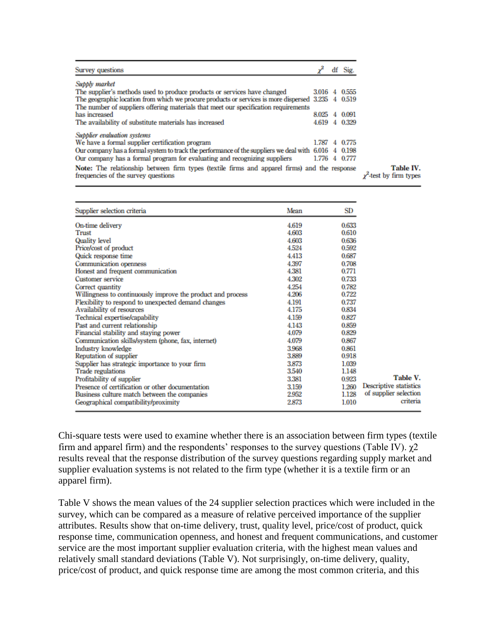|       | df Sig.                                                                                                                                                                                                                                                                                                                                                    |
|-------|------------------------------------------------------------------------------------------------------------------------------------------------------------------------------------------------------------------------------------------------------------------------------------------------------------------------------------------------------------|
|       |                                                                                                                                                                                                                                                                                                                                                            |
| 3016  | 4 0.555                                                                                                                                                                                                                                                                                                                                                    |
|       |                                                                                                                                                                                                                                                                                                                                                            |
|       |                                                                                                                                                                                                                                                                                                                                                            |
| 8.025 | 4 0.091                                                                                                                                                                                                                                                                                                                                                    |
|       |                                                                                                                                                                                                                                                                                                                                                            |
|       |                                                                                                                                                                                                                                                                                                                                                            |
| 1.787 | 4 0 7 7 5                                                                                                                                                                                                                                                                                                                                                  |
|       |                                                                                                                                                                                                                                                                                                                                                            |
|       |                                                                                                                                                                                                                                                                                                                                                            |
|       |                                                                                                                                                                                                                                                                                                                                                            |
|       | The geographic location from which we procure products or services is more dispersed 3.235 4 0.519<br>4.619 4 0.329<br>Our company has a formal system to track the performance of the suppliers we deal with $6.016 \quad 4 \quad 0.198$<br>1.776 4 0.777<br>Note: The relationship between firm types (textile firms and apparel firms) and the response |

| Supplier selection criteria                                 | Mean  | SD    |                        |
|-------------------------------------------------------------|-------|-------|------------------------|
| On-time delivery                                            | 4.619 | 0.633 |                        |
| Trust                                                       | 4.603 | 0.610 |                        |
| Quality level                                               | 4.603 | 0.636 |                        |
| Price/cost of product                                       | 4.524 | 0.592 |                        |
| Quick response time                                         | 4.413 | 0.687 |                        |
| Communication openness                                      | 4.397 | 0.708 |                        |
| Honest and frequent communication                           | 4.381 | 0.771 |                        |
| <b>Customer service</b>                                     | 4.302 | 0.733 |                        |
| Correct quantity                                            | 4.254 | 0.782 |                        |
| Willingness to continuously improve the product and process | 4.206 | 0.722 |                        |
| Flexibility to respond to unexpected demand changes         | 4.191 | 0.737 |                        |
| Availability of resources                                   | 4.175 | 0.834 |                        |
| Technical expertise/capability                              | 4.159 | 0.827 |                        |
| Past and current relationship                               | 4.143 | 0.859 |                        |
| Financial stability and staying power                       | 4.079 | 0.829 |                        |
| Communication skills/system (phone, fax, internet)          | 4.079 | 0.867 |                        |
| Industry knowledge                                          | 3.968 | 0.861 |                        |
| Reputation of supplier                                      | 3.889 | 0.918 |                        |
| Supplier has strategic importance to your firm              | 3.873 | 1.039 |                        |
| <b>Trade regulations</b>                                    | 3.540 | 1.148 |                        |
| Profitability of supplier                                   | 3.381 | 0.923 | Table V.               |
| Presence of certification or other documentation            | 3.159 | 1.260 | Descriptive statistics |
| Business culture match between the companies                | 2.952 | 1.128 | of supplier selection  |
| Geographical compatibility/proximity                        | 2.873 | 1.010 | criteria               |

Chi-square tests were used to examine whether there is an association between firm types (textile firm and apparel firm) and the respondents' responses to the survey questions (Table IV).  $\gamma$ 2 results reveal that the response distribution of the survey questions regarding supply market and supplier evaluation systems is not related to the firm type (whether it is a textile firm or an apparel firm).

Table V shows the mean values of the 24 supplier selection practices which were included in the survey, which can be compared as a measure of relative perceived importance of the supplier attributes. Results show that on-time delivery, trust, quality level, price/cost of product, quick response time, communication openness, and honest and frequent communications, and customer service are the most important supplier evaluation criteria, with the highest mean values and relatively small standard deviations (Table V). Not surprisingly, on-time delivery, quality, price/cost of product, and quick response time are among the most common criteria, and this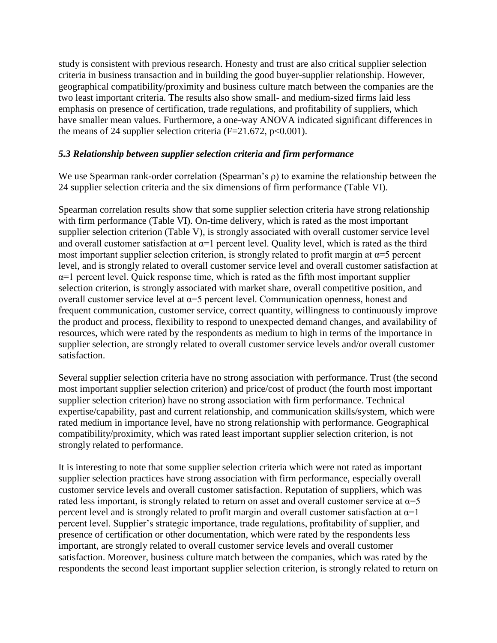study is consistent with previous research. Honesty and trust are also critical supplier selection criteria in business transaction and in building the good buyer-supplier relationship. However, geographical compatibility/proximity and business culture match between the companies are the two least important criteria. The results also show small- and medium-sized firms laid less emphasis on presence of certification, trade regulations, and profitability of suppliers, which have smaller mean values. Furthermore, a one-way ANOVA indicated significant differences in the means of 24 supplier selection criteria ( $F=21.672$ ,  $p<0.001$ ).

### *5.3 Relationship between supplier selection criteria and firm performance*

We use Spearman rank-order correlation (Spearman's ρ) to examine the relationship between the 24 supplier selection criteria and the six dimensions of firm performance (Table VI).

Spearman correlation results show that some supplier selection criteria have strong relationship with firm performance (Table VI). On-time delivery, which is rated as the most important supplier selection criterion (Table V), is strongly associated with overall customer service level and overall customer satisfaction at  $\alpha$ =1 percent level. Quality level, which is rated as the third most important supplier selection criterion, is strongly related to profit margin at  $\alpha = 5$  percent level, and is strongly related to overall customer service level and overall customer satisfaction at  $\alpha$ =1 percent level. Quick response time, which is rated as the fifth most important supplier selection criterion, is strongly associated with market share, overall competitive position, and overall customer service level at  $\alpha = 5$  percent level. Communication openness, honest and frequent communication, customer service, correct quantity, willingness to continuously improve the product and process, flexibility to respond to unexpected demand changes, and availability of resources, which were rated by the respondents as medium to high in terms of the importance in supplier selection, are strongly related to overall customer service levels and/or overall customer satisfaction.

Several supplier selection criteria have no strong association with performance. Trust (the second most important supplier selection criterion) and price/cost of product (the fourth most important supplier selection criterion) have no strong association with firm performance. Technical expertise/capability, past and current relationship, and communication skills/system, which were rated medium in importance level, have no strong relationship with performance. Geographical compatibility/proximity, which was rated least important supplier selection criterion, is not strongly related to performance.

It is interesting to note that some supplier selection criteria which were not rated as important supplier selection practices have strong association with firm performance, especially overall customer service levels and overall customer satisfaction. Reputation of suppliers, which was rated less important, is strongly related to return on asset and overall customer service at  $\alpha = 5$ percent level and is strongly related to profit margin and overall customer satisfaction at  $\alpha$ =1 percent level. Supplier's strategic importance, trade regulations, profitability of supplier, and presence of certification or other documentation, which were rated by the respondents less important, are strongly related to overall customer service levels and overall customer satisfaction. Moreover, business culture match between the companies, which was rated by the respondents the second least important supplier selection criterion, is strongly related to return on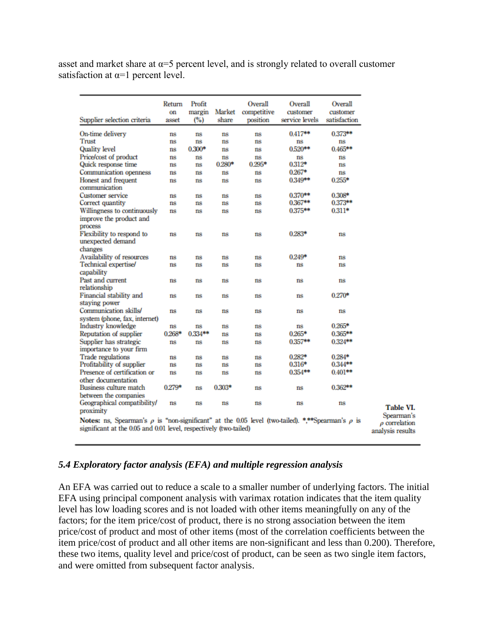asset and market share at  $\alpha = 5$  percent level, and is strongly related to overall customer satisfaction at  $\alpha=1$  percent level.

| Supplier selection criteria                                                                                                                                                     | Return<br>on<br>asset | Profit<br>margin<br>(%)  | Market<br>share | Overall<br>competitive<br>position | Overall<br>customer<br>service levels | Overall<br>customer<br>satisfaction |
|---------------------------------------------------------------------------------------------------------------------------------------------------------------------------------|-----------------------|--------------------------|-----------------|------------------------------------|---------------------------------------|-------------------------------------|
| On-time delivery<br>Trust<br>Quality level                                                                                                                                      | $ns$<br>ns<br>ns      | $ns$<br>$ns$<br>$0.300*$ | ns<br>ns<br>ns  | ns<br>ns<br>ns                     | $0.417**$<br>ns<br>$0.520***$         | 0.373**<br>ns<br>$0.465***$         |
| Price/cost of product<br>Quick response time                                                                                                                                    | ns<br>ns              | ns<br>ns                 | ns<br>$0.280*$  | ns<br>$0.295*$                     | ns<br>$0.312*$                        | ns<br>ns                            |
| Communication openness<br>Honest and frequent<br>communication                                                                                                                  | $ns$<br>$ns$          | ns<br>ns                 | ns<br>ns        | ns<br>ns                           | $0.267*$<br>0.349**                   | ns<br>$0.255*$                      |
| <b>Customer service</b><br>Correct quantity                                                                                                                                     | ns<br>ns              | ns<br>ns                 | ns<br>ns        | ns<br>ns                           | $0.370***$<br>0.367**                 | 0.308*<br>0.373**                   |
| Willingness to continuously<br>improve the product and<br>process                                                                                                               | $ns$                  | ns                       | ns              | ns                                 | 0.375**                               | $0.311*$                            |
| Flexibility to respond to<br>unexpected demand<br>changes                                                                                                                       | ns                    | ns                       | ns              | ns                                 | 0.283*                                | ns                                  |
| Availability of resources                                                                                                                                                       | ns                    | ns                       | ns              | ns                                 | $0.249*$                              | ns                                  |
| Technical expertise/<br>capability                                                                                                                                              | ns                    | ns                       | ns              | ns                                 | ns                                    | ns                                  |
| Past and current<br>relationship                                                                                                                                                | ns                    | ns                       | ns              | ns                                 | ns                                    | ns                                  |
| Financial stability and<br>staying power                                                                                                                                        | ns                    | ns                       | ns              | ns                                 | ns                                    | $0.270*$                            |
| Communication skills/<br>system (phone, fax, internet)                                                                                                                          | ns                    | ns                       | ns              | ns                                 | ns                                    | ns                                  |
| Industry knowledge                                                                                                                                                              | ns                    | $ns$                     | ns              | ns                                 | ns                                    | $0.265*$                            |
| Reputation of supplier                                                                                                                                                          | $0.268*$              | $0.334**$                | ns              | ns                                 | $0.265*$                              | $0.365***$                          |
| Supplier has strategic<br>importance to your firm                                                                                                                               | ns                    | ns                       | ns              | ns                                 | $0.357**$                             | $0.324**$                           |
| <b>Trade regulations</b>                                                                                                                                                        | $ns$                  | ns                       | ns              | ns                                 | $0.282*$                              | $0.284*$                            |
| Profitability of supplier                                                                                                                                                       | ns                    | ns                       | ns              | ns                                 | $0.316*$                              | 0.344**                             |
| Presence of certification or<br>other documentation                                                                                                                             | ns                    | ns                       | ns              | ns                                 | 0.354**                               | $0.401**$                           |
| Business culture match<br>between the companies                                                                                                                                 | $0.279*$              | $ns$                     | $0.303*$        | ns                                 | ns                                    | $0.362**$                           |
| Geographical compatibility/<br>proximity                                                                                                                                        | ns                    | ns                       | ns              | ns                                 | ns                                    | ns                                  |
| Notes: ns, Spearman's $\rho$ is "non-significant" at the 0.05 level (two-tailed). *,**Spearman's $\rho$ is<br>significant at the 0.05 and 0.01 level, respectively (two-tailed) |                       |                          |                 |                                    |                                       |                                     |

## *5.4 Exploratory factor analysis (EFA) and multiple regression analysis*

An EFA was carried out to reduce a scale to a smaller number of underlying factors. The initial EFA using principal component analysis with varimax rotation indicates that the item quality level has low loading scores and is not loaded with other items meaningfully on any of the factors; for the item price/cost of product, there is no strong association between the item price/cost of product and most of other items (most of the correlation coefficients between the item price/cost of product and all other items are non-significant and less than 0.200). Therefore, these two items, quality level and price/cost of product, can be seen as two single item factors, and were omitted from subsequent factor analysis.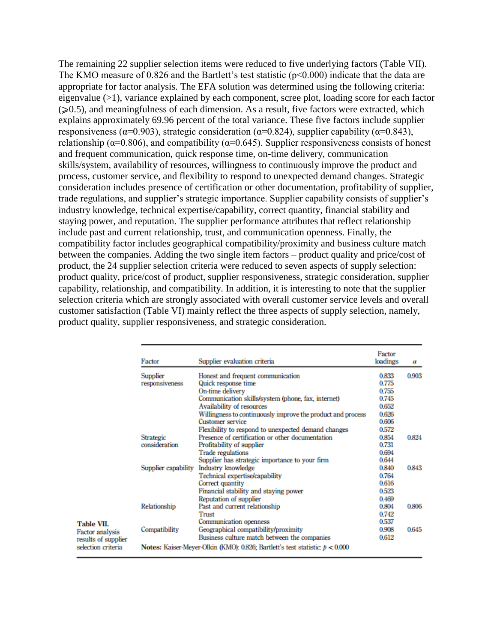The remaining 22 supplier selection items were reduced to five underlying factors (Table VII). The KMO measure of 0.826 and the Bartlett's test statistic ( $p<0.000$ ) indicate that the data are appropriate for factor analysis. The EFA solution was determined using the following criteria: eigenvalue (>1), variance explained by each component, scree plot, loading score for each factor  $(\geq 0.5)$ , and meaningfulness of each dimension. As a result, five factors were extracted, which explains approximately 69.96 percent of the total variance. These five factors include supplier responsiveness ( $\alpha$ =0.903), strategic consideration ( $\alpha$ =0.824), supplier capability ( $\alpha$ =0.843), relationship ( $\alpha$ =0.806), and compatibility ( $\alpha$ =0.645). Supplier responsiveness consists of honest and frequent communication, quick response time, on-time delivery, communication skills/system, availability of resources, willingness to continuously improve the product and process, customer service, and flexibility to respond to unexpected demand changes. Strategic consideration includes presence of certification or other documentation, profitability of supplier, trade regulations, and supplier's strategic importance. Supplier capability consists of supplier's industry knowledge, technical expertise/capability, correct quantity, financial stability and staying power, and reputation. The supplier performance attributes that reflect relationship include past and current relationship, trust, and communication openness. Finally, the compatibility factor includes geographical compatibility/proximity and business culture match between the companies. Adding the two single item factors – product quality and price/cost of product, the 24 supplier selection criteria were reduced to seven aspects of supply selection: product quality, price/cost of product, supplier responsiveness, strategic consideration, supplier capability, relationship, and compatibility. In addition, it is interesting to note that the supplier selection criteria which are strongly associated with overall customer service levels and overall customer satisfaction (Table VI) mainly reflect the three aspects of supply selection, namely, product quality, supplier responsiveness, and strategic consideration.

|                        | Factor              | Supplier evaluation criteria                                                   | Factor<br>loadings | $\boldsymbol{a}$ |
|------------------------|---------------------|--------------------------------------------------------------------------------|--------------------|------------------|
|                        | Supplier            | Honest and frequent communication                                              | 0.833              | 0.903            |
|                        | responsiveness      | Quick response time                                                            | 0.775              |                  |
|                        |                     | On-time delivery                                                               | 0.755              |                  |
|                        |                     | Communication skills/system (phone, fax, internet)                             | 0.745              |                  |
|                        |                     | <b>Availability of resources</b>                                               | 0.652              |                  |
|                        |                     | Willingness to continuously improve the product and process                    | 0.626              |                  |
|                        |                     | Customer service                                                               | 0.606              |                  |
|                        |                     | Flexibility to respond to unexpected demand changes                            | 0.572              |                  |
|                        | <b>Strategic</b>    | Presence of certification or other documentation                               | 0.854              | 0.824            |
|                        | consideration       | Profitability of supplier                                                      | 0.731              |                  |
|                        |                     | <b>Trade regulations</b>                                                       | 0.694              |                  |
|                        |                     | Supplier has strategic importance to your firm                                 | 0.644              |                  |
|                        | Supplier capability | Industry knowledge                                                             | 0.840              | 0.843            |
|                        |                     | Technical expertise/capability                                                 | 0.764              |                  |
|                        |                     | Correct quantity                                                               | 0.616              |                  |
|                        |                     | Financial stability and staying power                                          | 0.523              |                  |
|                        |                     | Reputation of supplier                                                         | 0.469              |                  |
|                        | Relationship        | Past and current relationship                                                  | 0.804              | 0.806            |
|                        |                     | Trust                                                                          | 0.742              |                  |
| Table VII.             |                     | Communication openness                                                         | 0.537              |                  |
| <b>Factor</b> analysis | Compatibility       | Geographical compatibility/proximity                                           | 0.908              | 0.645            |
| results of supplier    |                     | Business culture match between the companies                                   | 0.612              |                  |
| selection criteria     |                     | Notes: Kaiser-Meyer-Olkin (KMO): 0.826; Bartlett's test statistic: $p < 0.000$ |                    |                  |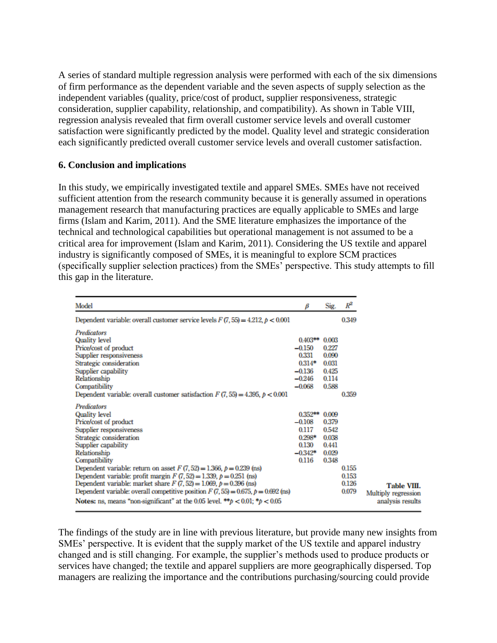A series of standard multiple regression analysis were performed with each of the six dimensions of firm performance as the dependent variable and the seven aspects of supply selection as the independent variables (quality, price/cost of product, supplier responsiveness, strategic consideration, supplier capability, relationship, and compatibility). As shown in Table VIII, regression analysis revealed that firm overall customer service levels and overall customer satisfaction were significantly predicted by the model. Quality level and strategic consideration each significantly predicted overall customer service levels and overall customer satisfaction.

#### **6. Conclusion and implications**

In this study, we empirically investigated textile and apparel SMEs. SMEs have not received sufficient attention from the research community because it is generally assumed in operations management research that manufacturing practices are equally applicable to SMEs and large firms (Islam and Karim, 2011). And the SME literature emphasizes the importance of the technical and technological capabilities but operational management is not assumed to be a critical area for improvement (Islam and Karim, 2011). Considering the US textile and apparel industry is significantly composed of SMEs, it is meaningful to explore SCM practices (specifically supplier selection practices) from the SMEs' perspective. This study attempts to fill this gap in the literature.

| Model                                                                                                                                                                                                                                                                                                                                                                                                                                                                                                                                                                               | В                                                                              | Sig.                                                        | $R^2$                            |
|-------------------------------------------------------------------------------------------------------------------------------------------------------------------------------------------------------------------------------------------------------------------------------------------------------------------------------------------------------------------------------------------------------------------------------------------------------------------------------------------------------------------------------------------------------------------------------------|--------------------------------------------------------------------------------|-------------------------------------------------------------|----------------------------------|
| Dependent variable: overall customer service levels $F(7, 55) = 4.212$ , $p < 0.001$                                                                                                                                                                                                                                                                                                                                                                                                                                                                                                |                                                                                |                                                             | 0.349                            |
| <b>Predicators</b><br><b>Quality level</b><br>Price/cost of product<br>Supplier responsiveness<br>Strategic consideration<br>Supplier capability<br>Relationship<br>Compatibility<br>Dependent variable: overall customer satisfaction $F(7, 55) = 4.395$ , $p < 0.001$                                                                                                                                                                                                                                                                                                             | $0.403**$<br>$-0.150$<br>0.331<br>$0.314*$<br>$-0.136$<br>$-0.246$<br>$-0.068$ | 0.003<br>0.227<br>0.090<br>0.031<br>0.425<br>0.114<br>0.588 | 0.359                            |
| Predicators<br>Quality level<br>Price/cost of product<br>Supplier responsiveness<br>Strategic consideration<br>Supplier capability<br>Relationship<br>Compatibility<br>Dependent variable: return on asset $F(7,52) = 1.366$ , $p = 0.239$ (ns)<br>Dependent variable: profit margin $F(7,52) = 1.339$ , $p = 0.251$ (ns)<br>Dependent variable: market share $F(7, 52) = 1.069$ , $p = 0.396$ (ns)<br>Dependent variable: overall competitive position $F(7, 55) = 0.675$ , $p = 0.692$ (ns)<br>Notes: ns, means "non-significant" at the 0.05 level. ** $p < 0.01$ ; * $p < 0.05$ | $0.352**$<br>$-0.108$<br>0.117<br>0.298*<br>0.130<br>$-0.342*$<br>0.116        | 0.009<br>0.379<br>0.542<br>0.038<br>0.441<br>0.029<br>0.348 | 0.155<br>0.153<br>0.126<br>0.079 |

The findings of the study are in line with previous literature, but provide many new insights from SMEs' perspective. It is evident that the supply market of the US textile and apparel industry changed and is still changing. For example, the supplier's methods used to produce products or services have changed; the textile and apparel suppliers are more geographically dispersed. Top managers are realizing the importance and the contributions purchasing/sourcing could provide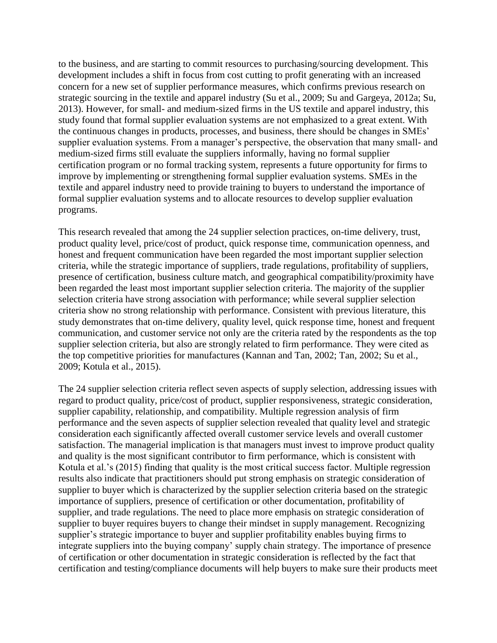to the business, and are starting to commit resources to purchasing/sourcing development. This development includes a shift in focus from cost cutting to profit generating with an increased concern for a new set of supplier performance measures, which confirms previous research on strategic sourcing in the textile and apparel industry (Su et al., 2009; Su and Gargeya, 2012a; Su, 2013). However, for small- and medium-sized firms in the US textile and apparel industry, this study found that formal supplier evaluation systems are not emphasized to a great extent. With the continuous changes in products, processes, and business, there should be changes in SMEs' supplier evaluation systems. From a manager's perspective, the observation that many small- and medium-sized firms still evaluate the suppliers informally, having no formal supplier certification program or no formal tracking system, represents a future opportunity for firms to improve by implementing or strengthening formal supplier evaluation systems. SMEs in the textile and apparel industry need to provide training to buyers to understand the importance of formal supplier evaluation systems and to allocate resources to develop supplier evaluation programs.

This research revealed that among the 24 supplier selection practices, on-time delivery, trust, product quality level, price/cost of product, quick response time, communication openness, and honest and frequent communication have been regarded the most important supplier selection criteria, while the strategic importance of suppliers, trade regulations, profitability of suppliers, presence of certification, business culture match, and geographical compatibility/proximity have been regarded the least most important supplier selection criteria. The majority of the supplier selection criteria have strong association with performance; while several supplier selection criteria show no strong relationship with performance. Consistent with previous literature, this study demonstrates that on-time delivery, quality level, quick response time, honest and frequent communication, and customer service not only are the criteria rated by the respondents as the top supplier selection criteria, but also are strongly related to firm performance. They were cited as the top competitive priorities for manufactures (Kannan and Tan, 2002; Tan, 2002; Su et al., 2009; Kotula et al., 2015).

The 24 supplier selection criteria reflect seven aspects of supply selection, addressing issues with regard to product quality, price/cost of product, supplier responsiveness, strategic consideration, supplier capability, relationship, and compatibility. Multiple regression analysis of firm performance and the seven aspects of supplier selection revealed that quality level and strategic consideration each significantly affected overall customer service levels and overall customer satisfaction. The managerial implication is that managers must invest to improve product quality and quality is the most significant contributor to firm performance, which is consistent with Kotula et al.'s (2015) finding that quality is the most critical success factor. Multiple regression results also indicate that practitioners should put strong emphasis on strategic consideration of supplier to buyer which is characterized by the supplier selection criteria based on the strategic importance of suppliers, presence of certification or other documentation, profitability of supplier, and trade regulations. The need to place more emphasis on strategic consideration of supplier to buyer requires buyers to change their mindset in supply management. Recognizing supplier's strategic importance to buyer and supplier profitability enables buying firms to integrate suppliers into the buying company' supply chain strategy. The importance of presence of certification or other documentation in strategic consideration is reflected by the fact that certification and testing/compliance documents will help buyers to make sure their products meet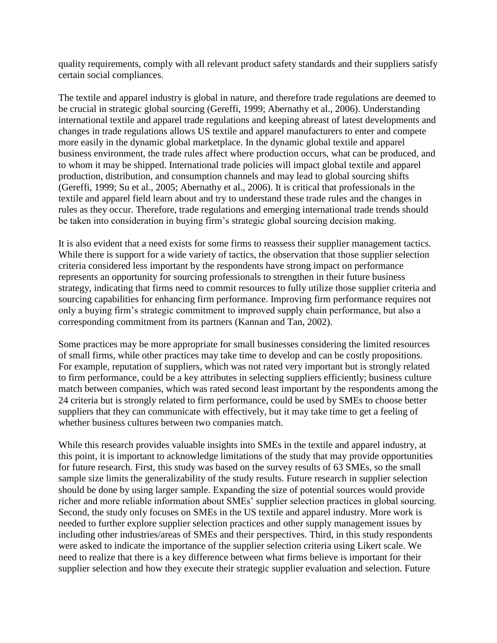quality requirements, comply with all relevant product safety standards and their suppliers satisfy certain social compliances.

The textile and apparel industry is global in nature, and therefore trade regulations are deemed to be crucial in strategic global sourcing (Gereffi, 1999; Abernathy et al., 2006). Understanding international textile and apparel trade regulations and keeping abreast of latest developments and changes in trade regulations allows US textile and apparel manufacturers to enter and compete more easily in the dynamic global marketplace. In the dynamic global textile and apparel business environment, the trade rules affect where production occurs, what can be produced, and to whom it may be shipped. International trade policies will impact global textile and apparel production, distribution, and consumption channels and may lead to global sourcing shifts (Gereffi, 1999; Su et al., 2005; Abernathy et al., 2006). It is critical that professionals in the textile and apparel field learn about and try to understand these trade rules and the changes in rules as they occur. Therefore, trade regulations and emerging international trade trends should be taken into consideration in buying firm's strategic global sourcing decision making.

It is also evident that a need exists for some firms to reassess their supplier management tactics. While there is support for a wide variety of tactics, the observation that those supplier selection criteria considered less important by the respondents have strong impact on performance represents an opportunity for sourcing professionals to strengthen in their future business strategy, indicating that firms need to commit resources to fully utilize those supplier criteria and sourcing capabilities for enhancing firm performance. Improving firm performance requires not only a buying firm's strategic commitment to improved supply chain performance, but also a corresponding commitment from its partners (Kannan and Tan, 2002).

Some practices may be more appropriate for small businesses considering the limited resources of small firms, while other practices may take time to develop and can be costly propositions. For example, reputation of suppliers, which was not rated very important but is strongly related to firm performance, could be a key attributes in selecting suppliers efficiently; business culture match between companies, which was rated second least important by the respondents among the 24 criteria but is strongly related to firm performance, could be used by SMEs to choose better suppliers that they can communicate with effectively, but it may take time to get a feeling of whether business cultures between two companies match.

While this research provides valuable insights into SMEs in the textile and apparel industry, at this point, it is important to acknowledge limitations of the study that may provide opportunities for future research. First, this study was based on the survey results of 63 SMEs, so the small sample size limits the generalizability of the study results. Future research in supplier selection should be done by using larger sample. Expanding the size of potential sources would provide richer and more reliable information about SMEs' supplier selection practices in global sourcing. Second, the study only focuses on SMEs in the US textile and apparel industry. More work is needed to further explore supplier selection practices and other supply management issues by including other industries/areas of SMEs and their perspectives. Third, in this study respondents were asked to indicate the importance of the supplier selection criteria using Likert scale. We need to realize that there is a key difference between what firms believe is important for their supplier selection and how they execute their strategic supplier evaluation and selection. Future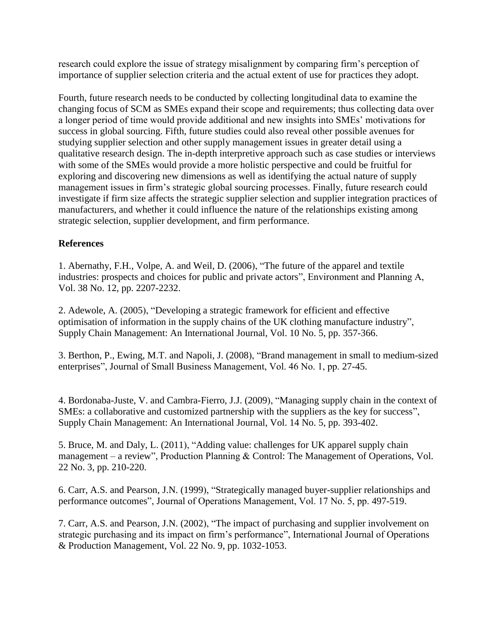research could explore the issue of strategy misalignment by comparing firm's perception of importance of supplier selection criteria and the actual extent of use for practices they adopt.

Fourth, future research needs to be conducted by collecting longitudinal data to examine the changing focus of SCM as SMEs expand their scope and requirements; thus collecting data over a longer period of time would provide additional and new insights into SMEs' motivations for success in global sourcing. Fifth, future studies could also reveal other possible avenues for studying supplier selection and other supply management issues in greater detail using a qualitative research design. The in-depth interpretive approach such as case studies or interviews with some of the SMEs would provide a more holistic perspective and could be fruitful for exploring and discovering new dimensions as well as identifying the actual nature of supply management issues in firm's strategic global sourcing processes. Finally, future research could investigate if firm size affects the strategic supplier selection and supplier integration practices of manufacturers, and whether it could influence the nature of the relationships existing among strategic selection, supplier development, and firm performance.

## **References**

1. Abernathy, F.H., Volpe, A. and Weil, D. (2006), "The future of the apparel and textile industries: prospects and choices for public and private actors", Environment and Planning A, Vol. 38 No. 12, pp. 2207-2232.

2. Adewole, A. (2005), "Developing a strategic framework for efficient and effective optimisation of information in the supply chains of the UK clothing manufacture industry", Supply Chain Management: An International Journal, Vol. 10 No. 5, pp. 357-366.

3. Berthon, P., Ewing, M.T. and Napoli, J. (2008), "Brand management in small to medium-sized enterprises", Journal of Small Business Management, Vol. 46 No. 1, pp. 27-45.

4. Bordonaba-Juste, V. and Cambra-Fierro, J.J. (2009), "Managing supply chain in the context of SMEs: a collaborative and customized partnership with the suppliers as the key for success", Supply Chain Management: An International Journal, Vol. 14 No. 5, pp. 393-402.

5. Bruce, M. and Daly, L. (2011), "Adding value: challenges for UK apparel supply chain management – a review", Production Planning & Control: The Management of Operations, Vol. 22 No. 3, pp. 210-220.

6. Carr, A.S. and Pearson, J.N. (1999), "Strategically managed buyer-supplier relationships and performance outcomes", Journal of Operations Management, Vol. 17 No. 5, pp. 497-519.

7. Carr, A.S. and Pearson, J.N. (2002), "The impact of purchasing and supplier involvement on strategic purchasing and its impact on firm's performance", International Journal of Operations & Production Management, Vol. 22 No. 9, pp. 1032-1053.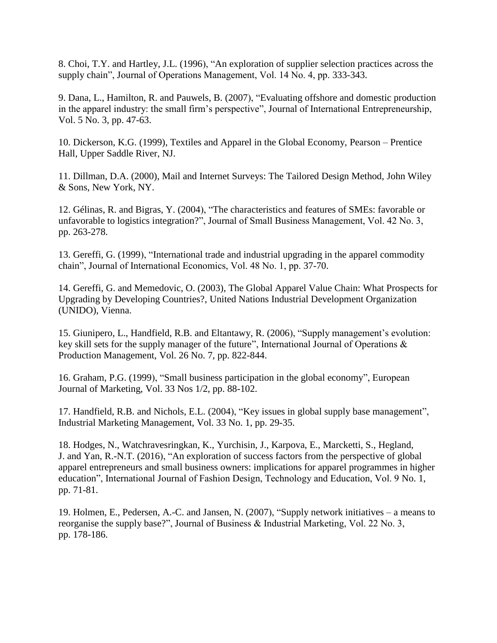8. Choi, T.Y. and Hartley, J.L. (1996), "An exploration of supplier selection practices across the supply chain", Journal of Operations Management, Vol. 14 No. 4, pp. 333-343.

9. Dana, L., Hamilton, R. and Pauwels, B. (2007), "Evaluating offshore and domestic production in the apparel industry: the small firm's perspective", Journal of International Entrepreneurship, Vol. 5 No. 3, pp. 47-63.

10. Dickerson, K.G. (1999), Textiles and Apparel in the Global Economy, Pearson – Prentice Hall, Upper Saddle River, NJ.

11. Dillman, D.A. (2000), Mail and Internet Surveys: The Tailored Design Method, John Wiley & Sons, New York, NY.

12. Gélinas, R. and Bigras, Y. (2004), "The characteristics and features of SMEs: favorable or unfavorable to logistics integration?", Journal of Small Business Management, Vol. 42 No. 3, pp. 263-278.

13. Gereffi, G. (1999), "International trade and industrial upgrading in the apparel commodity chain", Journal of International Economics, Vol. 48 No. 1, pp. 37-70.

14. Gereffi, G. and Memedovic, O. (2003), The Global Apparel Value Chain: What Prospects for Upgrading by Developing Countries?, United Nations Industrial Development Organization (UNIDO), Vienna.

15. Giunipero, L., Handfield, R.B. and Eltantawy, R. (2006), "Supply management's evolution: key skill sets for the supply manager of the future", International Journal of Operations & Production Management, Vol. 26 No. 7, pp. 822-844.

16. Graham, P.G. (1999), "Small business participation in the global economy", European Journal of Marketing, Vol. 33 Nos 1/2, pp. 88-102.

17. Handfield, R.B. and Nichols, E.L. (2004), "Key issues in global supply base management", Industrial Marketing Management, Vol. 33 No. 1, pp. 29-35.

18. Hodges, N., Watchravesringkan, K., Yurchisin, J., Karpova, E., Marcketti, S., Hegland, J. and Yan, R.-N.T. (2016), "An exploration of success factors from the perspective of global apparel entrepreneurs and small business owners: implications for apparel programmes in higher education", International Journal of Fashion Design, Technology and Education, Vol. 9 No. 1, pp. 71-81.

19. Holmen, E., Pedersen, A.-C. and Jansen, N. (2007), "Supply network initiatives – a means to reorganise the supply base?", Journal of Business & Industrial Marketing, Vol. 22 No. 3, pp. 178-186.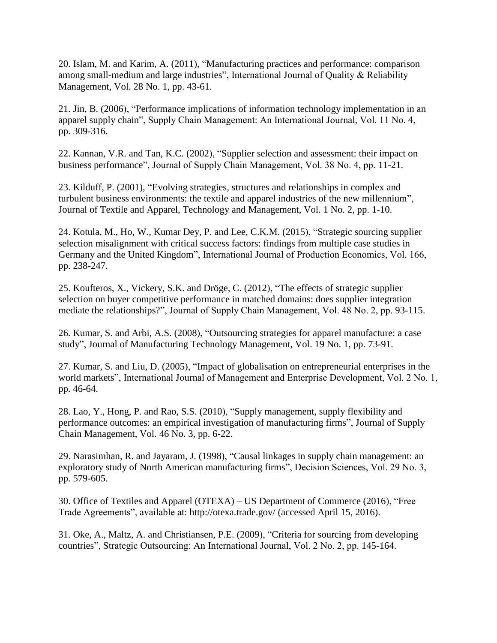20. Islam, M. and Karim, A. (2011), "Manufacturing practices and performance: comparison among small-medium and large industries", International Journal of Quality & Reliability Management, Vol. 28 No. 1, pp. 43-61.

21. Jin, B. (2006), "Performance implications of information technology implementation in an apparel supply chain", Supply Chain Management: An International Journal, Vol. 11 No. 4, pp. 309-316.

22. Kannan, V.R. and Tan, K.C. (2002), "Supplier selection and assessment: their impact on business performance", Journal of Supply Chain Management, Vol. 38 No. 4, pp. 11-21.

23. Kilduff, P. (2001), "Evolving strategies, structures and relationships in complex and turbulent business environments: the textile and apparel industries of the new millennium", Journal of Textile and Apparel, Technology and Management, Vol. 1 No. 2, pp. 1-10.

24. Kotula, M., Ho, W., Kumar Dey, P. and Lee, C.K.M. (2015), "Strategic sourcing supplier selection misalignment with critical success factors: findings from multiple case studies in Germany and the United Kingdom", International Journal of Production Economics, Vol. 166, pp. 238-247.

25. Koufteros, X., Vickery, S.K. and Dröge, C. (2012), "The effects of strategic supplier selection on buyer competitive performance in matched domains: does supplier integration mediate the relationships?", Journal of Supply Chain Management, Vol. 48 No. 2, pp. 93-115.

26. Kumar, S. and Arbi, A.S. (2008), "Outsourcing strategies for apparel manufacture: a case study", Journal of Manufacturing Technology Management, Vol. 19 No. 1, pp. 73-91.

27. Kumar, S. and Liu, D. (2005), "Impact of globalisation on entrepreneurial enterprises in the world markets", International Journal of Management and Enterprise Development, Vol. 2 No. 1, pp. 46-64.

28. Lao, Y., Hong, P. and Rao, S.S. (2010), "Supply management, supply flexibility and performance outcomes: an empirical investigation of manufacturing firms", Journal of Supply Chain Management, Vol. 46 No. 3, pp. 6-22.

29. Narasimhan, R. and Jayaram, J. (1998), "Causal linkages in supply chain management: an exploratory study of North American manufacturing firms", Decision Sciences, Vol. 29 No. 3, pp. 579-605.

30. Office of Textiles and Apparel (OTEXA) – US Department of Commerce (2016), "Free Trade Agreements", available at: http://otexa.trade.gov/ (accessed April 15, 2016).

31. Oke, A., Maltz, A. and Christiansen, P.E. (2009), "Criteria for sourcing from developing countries", Strategic Outsourcing: An International Journal, Vol. 2 No. 2, pp. 145-164.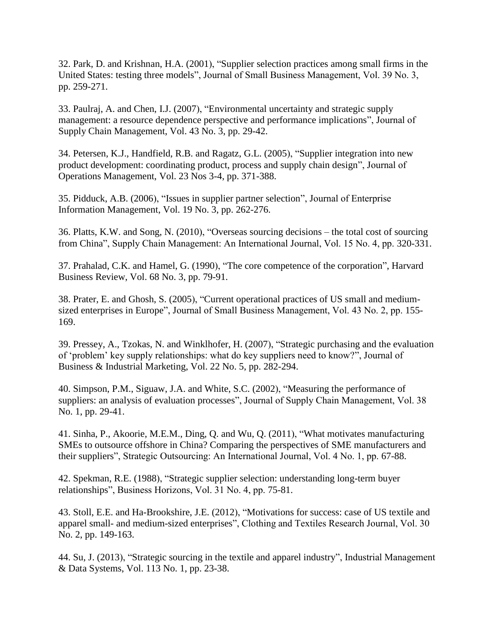32. Park, D. and Krishnan, H.A. (2001), "Supplier selection practices among small firms in the United States: testing three models", Journal of Small Business Management, Vol. 39 No. 3, pp. 259-271.

33. Paulraj, A. and Chen, I.J. (2007), "Environmental uncertainty and strategic supply management: a resource dependence perspective and performance implications", Journal of Supply Chain Management, Vol. 43 No. 3, pp. 29-42.

34. Petersen, K.J., Handfield, R.B. and Ragatz, G.L. (2005), "Supplier integration into new product development: coordinating product, process and supply chain design", Journal of Operations Management, Vol. 23 Nos 3-4, pp. 371-388.

35. Pidduck, A.B. (2006), "Issues in supplier partner selection", Journal of Enterprise Information Management, Vol. 19 No. 3, pp. 262-276.

36. Platts, K.W. and Song, N. (2010), "Overseas sourcing decisions – the total cost of sourcing from China", Supply Chain Management: An International Journal, Vol. 15 No. 4, pp. 320-331.

37. Prahalad, C.K. and Hamel, G. (1990), "The core competence of the corporation", Harvard Business Review, Vol. 68 No. 3, pp. 79-91.

38. Prater, E. and Ghosh, S. (2005), "Current operational practices of US small and mediumsized enterprises in Europe", Journal of Small Business Management, Vol. 43 No. 2, pp. 155- 169.

39. Pressey, A., Tzokas, N. and Winklhofer, H. (2007), "Strategic purchasing and the evaluation of 'problem' key supply relationships: what do key suppliers need to know?", Journal of Business & Industrial Marketing, Vol. 22 No. 5, pp. 282-294.

40. Simpson, P.M., Siguaw, J.A. and White, S.C. (2002), "Measuring the performance of suppliers: an analysis of evaluation processes", Journal of Supply Chain Management, Vol. 38 No. 1, pp. 29-41.

41. Sinha, P., Akoorie, M.E.M., Ding, Q. and Wu, Q. (2011), "What motivates manufacturing SMEs to outsource offshore in China? Comparing the perspectives of SME manufacturers and their suppliers", Strategic Outsourcing: An International Journal, Vol. 4 No. 1, pp. 67-88.

42. Spekman, R.E. (1988), "Strategic supplier selection: understanding long-term buyer relationships", Business Horizons, Vol. 31 No. 4, pp. 75-81.

43. Stoll, E.E. and Ha-Brookshire, J.E. (2012), "Motivations for success: case of US textile and apparel small- and medium-sized enterprises", Clothing and Textiles Research Journal, Vol. 30 No. 2, pp. 149-163.

44. Su, J. (2013), "Strategic sourcing in the textile and apparel industry", Industrial Management & Data Systems, Vol. 113 No. 1, pp. 23-38.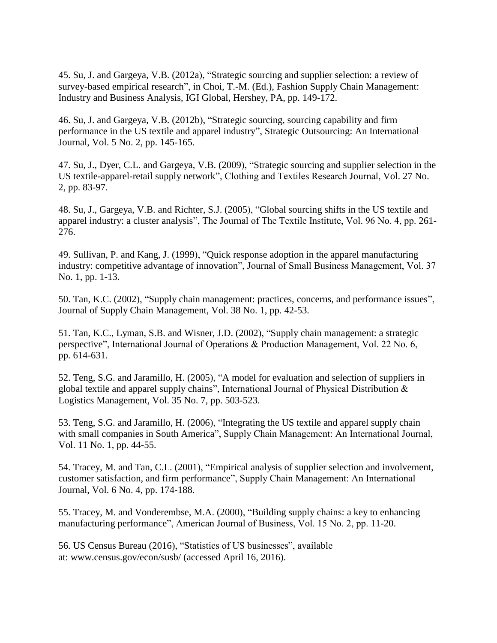45. Su, J. and Gargeya, V.B. (2012a), "Strategic sourcing and supplier selection: a review of survey-based empirical research", in Choi, T.-M. (Ed.), Fashion Supply Chain Management: Industry and Business Analysis, IGI Global, Hershey, PA, pp. 149-172.

46. Su, J. and Gargeya, V.B. (2012b), "Strategic sourcing, sourcing capability and firm performance in the US textile and apparel industry", Strategic Outsourcing: An International Journal, Vol. 5 No. 2, pp. 145-165.

47. Su, J., Dyer, C.L. and Gargeya, V.B. (2009), "Strategic sourcing and supplier selection in the US textile-apparel-retail supply network", Clothing and Textiles Research Journal, Vol. 27 No. 2, pp. 83-97.

48. Su, J., Gargeya, V.B. and Richter, S.J. (2005), "Global sourcing shifts in the US textile and apparel industry: a cluster analysis", The Journal of The Textile Institute, Vol. 96 No. 4, pp. 261- 276.

49. Sullivan, P. and Kang, J. (1999), "Quick response adoption in the apparel manufacturing industry: competitive advantage of innovation", Journal of Small Business Management, Vol. 37 No. 1, pp. 1-13.

50. Tan, K.C. (2002), "Supply chain management: practices, concerns, and performance issues", Journal of Supply Chain Management, Vol. 38 No. 1, pp. 42-53.

51. Tan, K.C., Lyman, S.B. and Wisner, J.D. (2002), "Supply chain management: a strategic perspective", International Journal of Operations & Production Management, Vol. 22 No. 6, pp. 614-631.

52. Teng, S.G. and Jaramillo, H. (2005), "A model for evaluation and selection of suppliers in global textile and apparel supply chains", International Journal of Physical Distribution & Logistics Management, Vol. 35 No. 7, pp. 503-523.

53. Teng, S.G. and Jaramillo, H. (2006), "Integrating the US textile and apparel supply chain with small companies in South America", Supply Chain Management: An International Journal, Vol. 11 No. 1, pp. 44-55.

54. Tracey, M. and Tan, C.L. (2001), "Empirical analysis of supplier selection and involvement, customer satisfaction, and firm performance", Supply Chain Management: An International Journal, Vol. 6 No. 4, pp. 174-188.

55. Tracey, M. and Vonderembse, M.A. (2000), "Building supply chains: a key to enhancing manufacturing performance", American Journal of Business, Vol. 15 No. 2, pp. 11-20.

56. US Census Bureau (2016), "Statistics of US businesses", available at: www.census.gov/econ/susb/ (accessed April 16, 2016).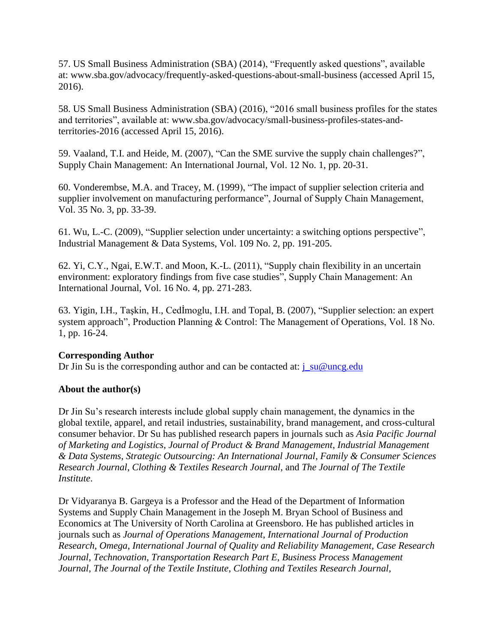57. US Small Business Administration (SBA) (2014), "Frequently asked questions", available at: www.sba.gov/advocacy/frequently-asked-questions-about-small-business (accessed April 15, 2016).

58. US Small Business Administration (SBA) (2016), "2016 small business profiles for the states and territories", available at: www.sba.gov/advocacy/small-business-profiles-states-andterritories-2016 (accessed April 15, 2016).

59. Vaaland, T.I. and Heide, M. (2007), "Can the SME survive the supply chain challenges?", Supply Chain Management: An International Journal, Vol. 12 No. 1, pp. 20-31.

60. Vonderembse, M.A. and Tracey, M. (1999), "The impact of supplier selection criteria and supplier involvement on manufacturing performance", Journal of Supply Chain Management, Vol. 35 No. 3, pp. 33-39.

61. Wu, L.-C. (2009), "Supplier selection under uncertainty: a switching options perspective", Industrial Management & Data Systems, Vol. 109 No. 2, pp. 191-205.

62. Yi, C.Y., Ngai, E.W.T. and Moon, K.-L. (2011), "Supply chain flexibility in an uncertain environment: exploratory findings from five case studies", Supply Chain Management: An International Journal, Vol. 16 No. 4, pp. 271-283.

63. Yigin, I.H., Taşkin, H., Cedİmoglu, I.H. and Topal, B. (2007), "Supplier selection: an expert system approach", Production Planning & Control: The Management of Operations, Vol. 18 No. 1, pp. 16-24.

## **Corresponding Author**

Dr Jin Su is the corresponding author and can be contacted at:  $j_{\text{su}}@$ uncg.edu

## **About the author(s)**

Dr Jin Su's research interests include global supply chain management, the dynamics in the global textile, apparel, and retail industries, sustainability, brand management, and cross-cultural consumer behavior. Dr Su has published research papers in journals such as *Asia Pacific Journal of Marketing and Logistics*, *Journal of Product & Brand Management*, *Industrial Management & Data Systems*, *Strategic Outsourcing: An International Journal*, *Family & Consumer Sciences Research Journal*, *Clothing & Textiles Research Journal*, and *The Journal of The Textile Institute*.

Dr Vidyaranya B. Gargeya is a Professor and the Head of the Department of Information Systems and Supply Chain Management in the Joseph M. Bryan School of Business and Economics at The University of North Carolina at Greensboro. He has published articles in journals such as *Journal of Operations Management*, *International Journal of Production Research*, *Omega*, *International Journal of Quality and Reliability Management*, *Case Research Journal*, *Technovation*, *Transportation Research Part E*, *Business Process Management Journal*, *The Journal of the Textile Institute*, *Clothing and Textiles Research Journal*,